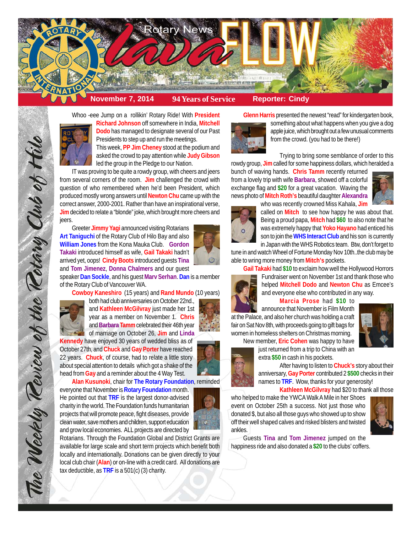

## Whoo -eee Jump on a rollikin' Rotary Ride! With **President**



**Richard Johnson** off somewhere in India, **Mitchell Dodo** has managed to designate several of our Past Presidents to step up and run the meetings. This week, **PP Jim Cheney** stood at the podium and

asked the crowd to pay attention while **Judy Gibson** led the group in the Pledge to our Nation.

IT was proving to be quite a rowdy group, with cheers and jeers from several corners of the room. **Jim** challenged the crowd with question of who remembered when he'd been President, which produced mostly wrong answers until **Newton Chu** came up with the correct answer, 2000-2001. Rather than have an inspirational verse, **Jim** decided to relate a "blonde" joke, which brought more cheers and jeers.

Greeter **Jimmy Yagi** announced visiting Rotarians **Art Taniguchi** of the Rotary Club of Hilo Bay and also **William Jones** from the Kona Mauka Club. **Gordon Takaki** introduced himself as wife, **Gail Takaki** hadn't arrived yet, oops! **Cindy Boots** introduced guests **Tina** and **Tom Jimenez**, **Donna Chalmers** and our guest

speaker **Dan Sockle**, and his guest **Marv Serhan**. **Dan** is a member of the Rotary Club of Vancouver WA.

**Cowboy Kaneshiro** (15 years) and **Rand Mundo** (10 years)



The Weekly Teview of the Tetary Club of Hil

both had club anniversaries on October 22nd., and **Kathleen McGilvray** just made her 1st year as a member on November 1. **Chris** and **Barbara Tamm** celebrated their 46th year of marriage on October 26, **Jim** and **Linda**

**Kennedy** have enjoyed 30 years of wedded bliss as of October 27th, and **Chuck** and **Gay Porter** have reached 22 years. **Chuck**, of course, had to relate a little story about special attention to details which got a shake of the head from **Gay** and a reminder about the 4 Way Test.

**Alan Kusunoki**, chair for **The Rotary Foundation**, reminded everyone that November is **Rotary Foundation** month. He pointed out that **TRF** is the largest donor-advised charity in the world. The Foundation funds humanitarian projects that will promote peace, fight diseases, provide clean water, save mothers and children, support education and grow local economies. ALL projects are directed by

Rotarians. Through the Foundation Global and District Grants are available for large scale and short term projects which benefit both locally and internationally. Donations can be given directly to your local club chair (**Alan**) or on-line with a credit card. All donations are tax deductible, as **TRF** is a 501(c) (3) charity.

**Glenn Harris** presented the newest "read" for kindergarten book,



something about what happens when you give a dog apple juice, which brought out a few unusual comments from the crowd. (you had to be there!)

Trying to bring some semblance of order to this rowdy group, **Jim** called for some happiness dollars, which heralded a

bunch of waving hands. **Chris Tamm** recently returned from a lovely trip with wife **Barbara**, showed off a colorful exchange flag and **\$20** for a great vacation. Waving the news photo of **Mitch Roth's** beautiful daughter **Alexandra** who was recently crowned Miss Kahala, **Jim**





called on **Mitch** to see how happy he was about that. Being a proud papa, **Mitch** had **\$60** to also note that he was extremely happy that **Yoko Hayano** had enticed his son to join the **WHS Interact Club** and his son is currently in Japan with the WHS Robotics team. Btw, don't forget to

tune in and watch Wheel of Fortune Monday Nov 10th..the club may be able to wring more money from **Mitch's** pockets.



**Gail Takaki** had **\$10** to exclaim how well the Hollywood Horrors Fundraiser went on November 1st and thank those who helped **Mitchell Dodo** and **Newton Chu** as Emcee's and everyone else who contributed in any way.

**Marcia Prose** had **\$10** to

announce that November is Film Month at the Palace, and also her church was holding a craft fair on Sat Nov 8th, with proceeds going to gift bags for women in homeless shelters on Christmas morning.



New member, **Eric Cohen** was happy to have just returned from a trip to China with an extra **\$50** in cash in his pockets.



After having to listen to **Chuck's** story about their anniversary, **Gay Porter** contributed 2 **\$500** checks in their names to **TRF**. Wow, thanks for your generosity!

**Kathleen McGilvray** had \$20 to thank all those

who helped to make the YWCA Walk A Mile in her Shoes event on October 25th a success. Not just those who donated \$, but also all those guys who showed up to show off their well shaped calves and risked blisters and twisted ankles.



Guests **Tina** and **Tom Jimenez** jumped on the happiness ride and also donated a **\$20** to the clubs' coffers.